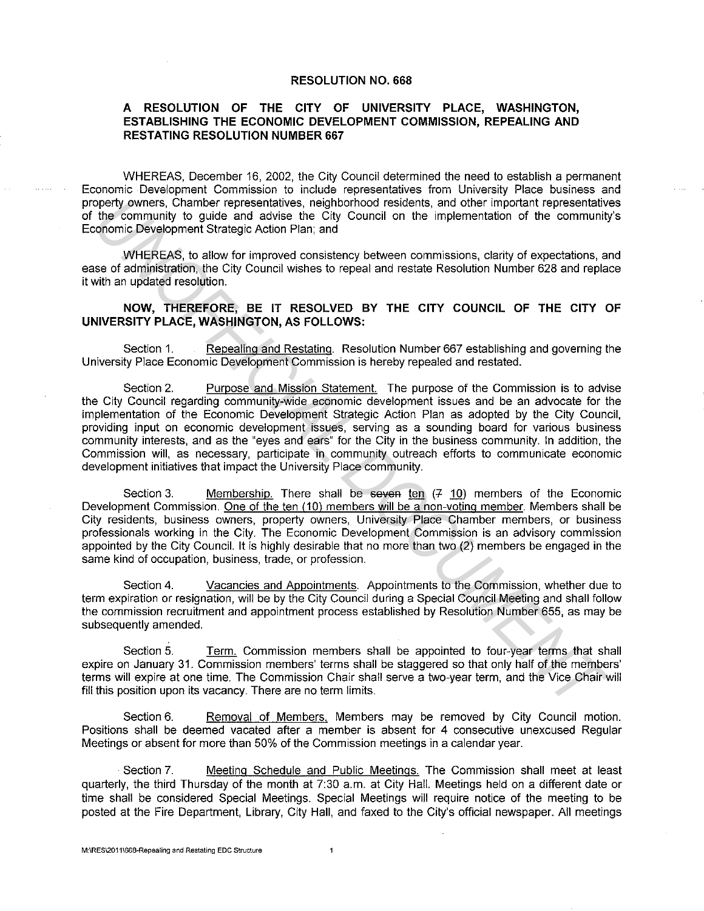## **RESOLUTION NO. 668**

## **A RESOLUTION OF THE CITY OF UNIVERSITY PLACE, WASHINGTON, ESTABLISHING THE ECONOMIC DEVELOPMENT COMMISSION, REPEALING AND RESTATING RESOLUTION NUMBER 667**

WHEREAS, December 16, 2002, the City Council determined the need to establish a permanent Economic Development Commission to include representatives from University Place business and property owners, Chamber representatives, neighborhood residents. and other important representatives of the community to guide and advise the City Council on the implementation of the community"s Economic Development Strategic Action Plan; and

WHEREAS, to allow for improved consistency between commissions, clarity of expectations, and ease of administration, the City Council wishes to repeal and restate Resolution Number 628 and replace it with an updated resolution.

## **NOW, THEREFORE, BE IT RESOLVED BY THE CITY COUNCIL OF THE CITY OF UNIVERSITY PLACE, WASHINGTON, AS FOLLOWS:**

Section 1. Repealing and Restating. Resolution Number 667 establishing and governing the University Place Economic Development Commission is hereby repealed and restated.

Section 2. Purpose and Mission Statement. The purpose of the Commission is to advise the City Council regarding community-wide economic development issues and be an advocate for the implementation of the Economic Development Strategic Action Plan as adopted by the City Council, providing input on economic development issues, serving as a sounding board for various business community interests, and as the "eyes and ears" for the City in the business community. In addition, the Commission will, as necessary, participate in community outreach efforts to communicate economic development initiatives that impact the University Place community. open'ty owners, Chamber representatives, neighborhood residents, and other important representative<br>for the community to guide and advise the City Council on the implementation of the community<br>of omeral Strategic Adion Pl

Section 3. Membership. There shall be seven ten  $(7 10)$  members of the Economic Development Commission. One of the ten (10) members will be a non-voting member. Members shall be City residents, business owners, property owners, University Place Chamber members, or business professionals working in the City. The Economic Development Commission is an advisory commission appointed by the City Council. It is highly desirable that no more than two (2) members be engaged in the same kind of occupation, business, trade, or profession.

Section 4. Vacancies and Appointments. Appointments to the Commission, whether due to term expiration or resignation, will be by the City Council during a Special Council Meeting and shall follow the commission recruitment and appointment process established by Resolution Number 655, as may be subsequently amended.

Section 5. Term. Commission members shall be appointed to four-year terms that shall expire on January 31. Commission members' terms shall be staggered so that only half of the members' terms will expire at one time. The Commission Chair shall serve a two-year term, and the Vice Chair will fill this position upon its vacancy. There are no term limits.

Section 6. Removal of Members. Members may be removed by City Council motion. Positions shall be deemed vacated after a member is absent for 4 consecutive unexcused Regular Meetings or absent for more than 50% of the Commission meetings in a calendar year.

Section 7. Meeting Schedule and Public Meetings. The Commission shall meet at least quarterly, the third Thursday of the month at 7:30 a.m. at City Hall. Meetings held on a different date or time shall be considered Special Meetings. Special Meetings will require notice of the meeting to be posted at the Fire Department, Library, City Hall, and faxed to the City's official newspaper. All meetings